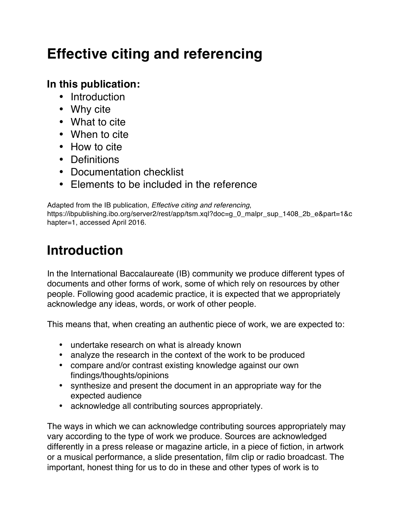# **Effective citing and referencing**

### **In this publication:**

- Introduction
- Why cite
- What to cite
- When to cite
- How to cite
- Definitions
- Documentation checklist
- Elements to be included in the reference

Adapted from the IB publication, *Effective citing and referencing*, https://ibpublishing.ibo.org/server2/rest/app/tsm.xql?doc=g\_0\_malpr\_sup\_1408\_2b\_e&part=1&c hapter=1, accessed April 2016.

# **Introduction**

In the International Baccalaureate (IB) community we produce different types of documents and other forms of work, some of which rely on resources by other people. Following good academic practice, it is expected that we appropriately acknowledge any ideas, words, or work of other people.

This means that, when creating an authentic piece of work, we are expected to:

- undertake research on what is already known
- analyze the research in the context of the work to be produced
- compare and/or contrast existing knowledge against our own findings/thoughts/opinions
- synthesize and present the document in an appropriate way for the expected audience
- acknowledge all contributing sources appropriately.

The ways in which we can acknowledge contributing sources appropriately may vary according to the type of work we produce. Sources are acknowledged differently in a press release or magazine article, in a piece of fiction, in artwork or a musical performance, a slide presentation, film clip or radio broadcast. The important, honest thing for us to do in these and other types of work is to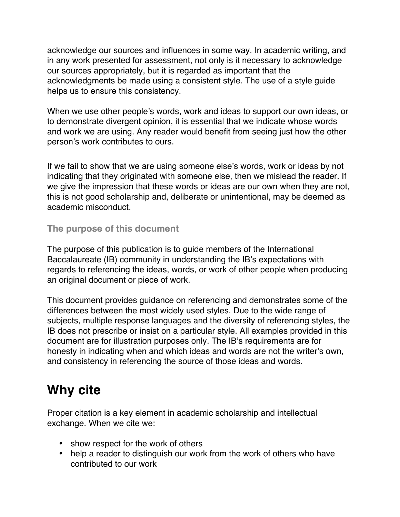acknowledge our sources and influences in some way. In academic writing, and in any work presented for assessment, not only is it necessary to acknowledge our sources appropriately, but it is regarded as important that the acknowledgments be made using a consistent style. The use of a style guide helps us to ensure this consistency.

When we use other people's words, work and ideas to support our own ideas, or to demonstrate divergent opinion, it is essential that we indicate whose words and work we are using. Any reader would benefit from seeing just how the other person's work contributes to ours.

If we fail to show that we are using someone else's words, work or ideas by not indicating that they originated with someone else, then we mislead the reader. If we give the impression that these words or ideas are our own when they are not, this is not good scholarship and, deliberate or unintentional, may be deemed as academic misconduct.

#### **The purpose of this document**

The purpose of this publication is to guide members of the International Baccalaureate (IB) community in understanding the IB's expectations with regards to referencing the ideas, words, or work of other people when producing an original document or piece of work.

This document provides guidance on referencing and demonstrates some of the differences between the most widely used styles. Due to the wide range of subjects, multiple response languages and the diversity of referencing styles, the IB does not prescribe or insist on a particular style. All examples provided in this document are for illustration purposes only. The IB's requirements are for honesty in indicating when and which ideas and words are not the writer's own, and consistency in referencing the source of those ideas and words.

# **Why cite**

Proper citation is a key element in academic scholarship and intellectual exchange. When we cite we:

- show respect for the work of others
- help a reader to distinguish our work from the work of others who have contributed to our work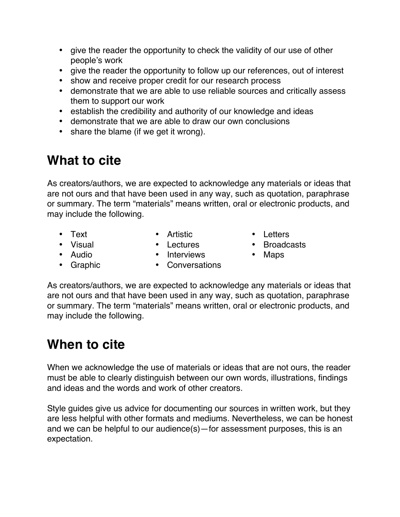- give the reader the opportunity to check the validity of our use of other people's work
- give the reader the opportunity to follow up our references, out of interest
- show and receive proper credit for our research process
- demonstrate that we are able to use reliable sources and critically assess them to support our work
- establish the credibility and authority of our knowledge and ideas
- demonstrate that we are able to draw our own conclusions
- share the blame (if we get it wrong).

# **What to cite**

As creators/authors, we are expected to acknowledge any materials or ideas that are not ours and that have been used in any way, such as quotation, paraphrase or summary. The term "materials" means written, oral or electronic products, and may include the following.

- 
- Text Artistic Letters
- 
- Visual Lectures Broadcasts
- 
- 
- Audio Interviews Maps
- 
- 
- Graphic Conversations

As creators/authors, we are expected to acknowledge any materials or ideas that are not ours and that have been used in any way, such as quotation, paraphrase or summary. The term "materials" means written, oral or electronic products, and may include the following.

# **When to cite**

When we acknowledge the use of materials or ideas that are not ours, the reader must be able to clearly distinguish between our own words, illustrations, findings and ideas and the words and work of other creators.

Style guides give us advice for documenting our sources in written work, but they are less helpful with other formats and mediums. Nevertheless, we can be honest and we can be helpful to our audience(s)—for assessment purposes, this is an expectation.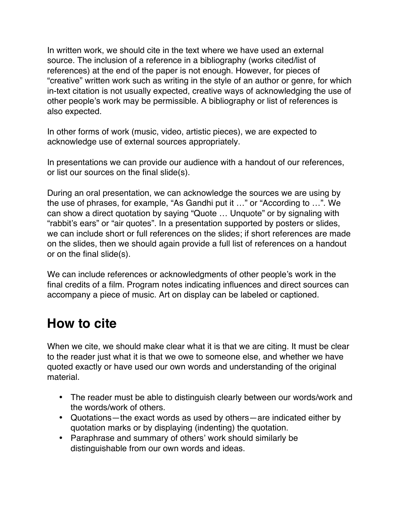In written work, we should cite in the text where we have used an external source. The inclusion of a reference in a bibliography (works cited/list of references) at the end of the paper is not enough. However, for pieces of "creative" written work such as writing in the style of an author or genre, for which in-text citation is not usually expected, creative ways of acknowledging the use of other people's work may be permissible. A bibliography or list of references is also expected.

In other forms of work (music, video, artistic pieces), we are expected to acknowledge use of external sources appropriately.

In presentations we can provide our audience with a handout of our references, or list our sources on the final slide(s).

During an oral presentation, we can acknowledge the sources we are using by the use of phrases, for example, "As Gandhi put it …" or "According to …". We can show a direct quotation by saying "Quote … Unquote" or by signaling with "rabbit's ears" or "air quotes". In a presentation supported by posters or slides, we can include short or full references on the slides; if short references are made on the slides, then we should again provide a full list of references on a handout or on the final slide(s).

We can include references or acknowledgments of other people's work in the final credits of a film. Program notes indicating influences and direct sources can accompany a piece of music. Art on display can be labeled or captioned.

# **How to cite**

When we cite, we should make clear what it is that we are citing. It must be clear to the reader just what it is that we owe to someone else, and whether we have quoted exactly or have used our own words and understanding of the original material.

- The reader must be able to distinguish clearly between our words/work and the words/work of others.
- Quotations—the exact words as used by others—are indicated either by quotation marks or by displaying (indenting) the quotation.
- Paraphrase and summary of others' work should similarly be distinguishable from our own words and ideas.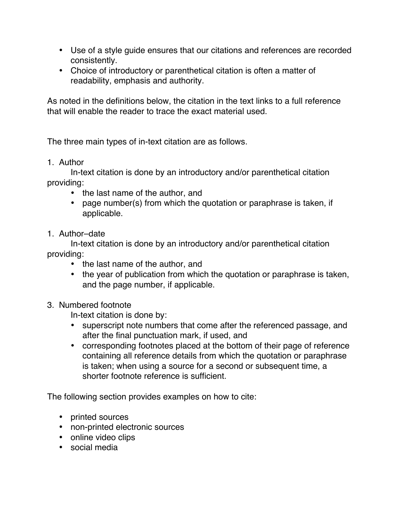- Use of a style guide ensures that our citations and references are recorded consistently.
- Choice of introductory or parenthetical citation is often a matter of readability, emphasis and authority.

As noted in the definitions below, the citation in the text links to a full reference that will enable the reader to trace the exact material used.

The three main types of in-text citation are as follows.

1. Author

In-text citation is done by an introductory and/or parenthetical citation providing:

- the last name of the author, and
- page number(s) from which the quotation or paraphrase is taken, if applicable.
- 1. Author–date

In-text citation is done by an introductory and/or parenthetical citation providing:

- the last name of the author, and
- the year of publication from which the quotation or paraphrase is taken, and the page number, if applicable.
- 3. Numbered footnote

In-text citation is done by:

- superscript note numbers that come after the referenced passage, and after the final punctuation mark, if used, and
- corresponding footnotes placed at the bottom of their page of reference containing all reference details from which the quotation or paraphrase is taken; when using a source for a second or subsequent time, a shorter footnote reference is sufficient.

The following section provides examples on how to cite:

- printed sources
- non-printed electronic sources
- online video clips
- social media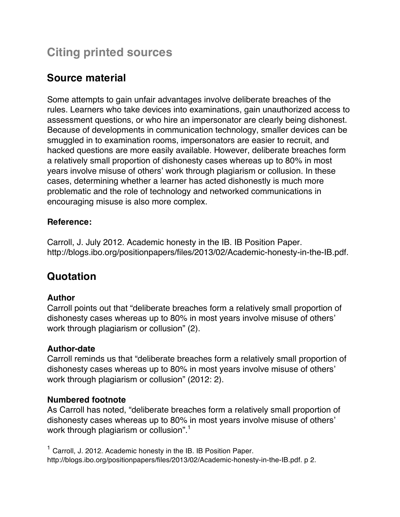## **Citing printed sources**

## **Source material**

Some attempts to gain unfair advantages involve deliberate breaches of the rules. Learners who take devices into examinations, gain unauthorized access to assessment questions, or who hire an impersonator are clearly being dishonest. Because of developments in communication technology, smaller devices can be smuggled in to examination rooms, impersonators are easier to recruit, and hacked questions are more easily available. However, deliberate breaches form a relatively small proportion of dishonesty cases whereas up to 80% in most years involve misuse of others' work through plagiarism or collusion. In these cases, determining whether a learner has acted dishonestly is much more problematic and the role of technology and networked communications in encouraging misuse is also more complex.

#### **Reference:**

Carroll, J. July 2012. Academic honesty in the IB. IB Position Paper. http://blogs.ibo.org/positionpapers/files/2013/02/Academic-honesty-in-the-IB.pdf.

### **Quotation**

#### **Author**

Carroll points out that "deliberate breaches form a relatively small proportion of dishonesty cases whereas up to 80% in most years involve misuse of others' work through plagiarism or collusion" (2).

#### **Author-date**

Carroll reminds us that "deliberate breaches form a relatively small proportion of dishonesty cases whereas up to 80% in most years involve misuse of others' work through plagiarism or collusion" (2012: 2).

#### **Numbered footnote**

As Carroll has noted, "deliberate breaches form a relatively small proportion of dishonesty cases whereas up to 80% in most years involve misuse of others' work through plagiarism or collusion".<sup>1</sup>

<sup>1</sup> Carroll, J. 2012. Academic honesty in the IB. IB Position Paper. http://blogs.ibo.org/positionpapers/files/2013/02/Academic-honesty-in-the-IB.pdf. p 2.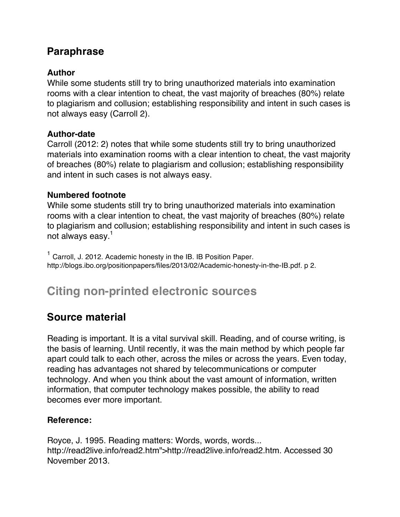### **Paraphrase**

#### **Author**

While some students still try to bring unauthorized materials into examination rooms with a clear intention to cheat, the vast majority of breaches (80%) relate to plagiarism and collusion; establishing responsibility and intent in such cases is not always easy (Carroll 2).

#### **Author-date**

Carroll (2012: 2) notes that while some students still try to bring unauthorized materials into examination rooms with a clear intention to cheat, the vast majority of breaches (80%) relate to plagiarism and collusion; establishing responsibility and intent in such cases is not always easy.

#### **Numbered footnote**

While some students still try to bring unauthorized materials into examination rooms with a clear intention to cheat, the vast majority of breaches (80%) relate to plagiarism and collusion; establishing responsibility and intent in such cases is not always easy.<sup>1</sup>

<sup>1</sup> Carroll, J. 2012. Academic honesty in the IB. IB Position Paper. http://blogs.ibo.org/positionpapers/files/2013/02/Academic-honesty-in-the-IB.pdf. p 2.

## **Citing non-printed electronic sources**

### **Source material**

Reading is important. It is a vital survival skill. Reading, and of course writing, is the basis of learning. Until recently, it was the main method by which people far apart could talk to each other, across the miles or across the years. Even today, reading has advantages not shared by telecommunications or computer technology. And when you think about the vast amount of information, written information, that computer technology makes possible, the ability to read becomes ever more important.

#### **Reference:**

Royce, J. 1995. Reading matters: Words, words, words... http://read2live.info/read2.htm">http://read2live.info/read2.htm. Accessed 30 November 2013.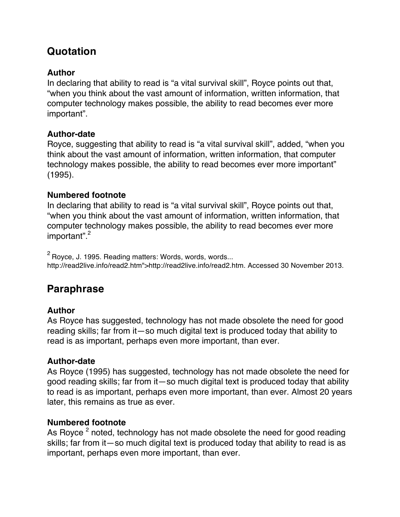## **Quotation**

#### **Author**

In declaring that ability to read is "a vital survival skill", Royce points out that, "when you think about the vast amount of information, written information, that computer technology makes possible, the ability to read becomes ever more important".

#### **Author-date**

Royce, suggesting that ability to read is "a vital survival skill", added, "when you think about the vast amount of information, written information, that computer technology makes possible, the ability to read becomes ever more important" (1995).

#### **Numbered footnote**

In declaring that ability to read is "a vital survival skill", Royce points out that, "when you think about the vast amount of information, written information, that computer technology makes possible, the ability to read becomes ever more important". 2

 $2$  Royce, J. 1995. Reading matters: Words, words, words... http://read2live.info/read2.htm">http://read2live.info/read2.htm. Accessed 30 November 2013.

### **Paraphrase**

#### **Author**

As Royce has suggested, technology has not made obsolete the need for good reading skills; far from it—so much digital text is produced today that ability to read is as important, perhaps even more important, than ever.

#### **Author-date**

As Royce (1995) has suggested, technology has not made obsolete the need for good reading skills; far from it—so much digital text is produced today that ability to read is as important, perhaps even more important, than ever. Almost 20 years later, this remains as true as ever.

#### **Numbered footnote**

As Royce  $^2$  noted, technology has not made obsolete the need for good reading skills; far from it—so much digital text is produced today that ability to read is as important, perhaps even more important, than ever.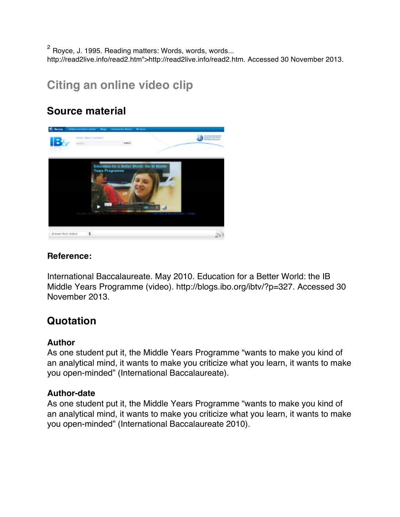$2$  Royce, J. 1995. Reading matters: Words, words, words... http://read2live.info/read2.htm">http://read2live.info/read2.htm. Accessed 30 November 2013.

## **Citing an online video clip**

### **Source material**



#### **Reference:**

International Baccalaureate. May 2010. Education for a Better World: the IB Middle Years Programme (video). http://blogs.ibo.org/ibtv/?p=327. Accessed 30 November 2013.

### **Quotation**

#### **Author**

As one student put it, the Middle Years Programme "wants to make you kind of an analytical mind, it wants to make you criticize what you learn, it wants to make you open-minded" (International Baccalaureate).

#### **Author-date**

As one student put it, the Middle Years Programme "wants to make you kind of an analytical mind, it wants to make you criticize what you learn, it wants to make you open-minded" (International Baccalaureate 2010).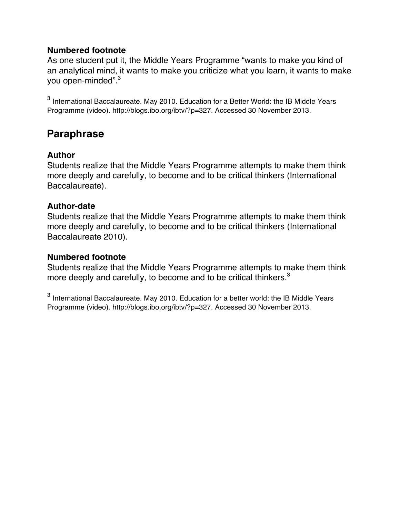#### **Numbered footnote**

As one student put it, the Middle Years Programme "wants to make you kind of an analytical mind, it wants to make you criticize what you learn, it wants to make you open-minded".<sup>3</sup>

<sup>3</sup> International Baccalaureate. May 2010. Education for a Better World: the IB Middle Years Programme (video). http://blogs.ibo.org/ibtv/?p=327. Accessed 30 November 2013.

### **Paraphrase**

#### **Author**

Students realize that the Middle Years Programme attempts to make them think more deeply and carefully, to become and to be critical thinkers (International Baccalaureate).

#### **Author-date**

Students realize that the Middle Years Programme attempts to make them think more deeply and carefully, to become and to be critical thinkers (International Baccalaureate 2010).

#### **Numbered footnote**

Students realize that the Middle Years Programme attempts to make them think more deeply and carefully, to become and to be critical thinkers.<sup>3</sup>

<sup>3</sup> International Baccalaureate. May 2010. Education for a better world: the IB Middle Years Programme (video). http://blogs.ibo.org/ibtv/?p=327. Accessed 30 November 2013.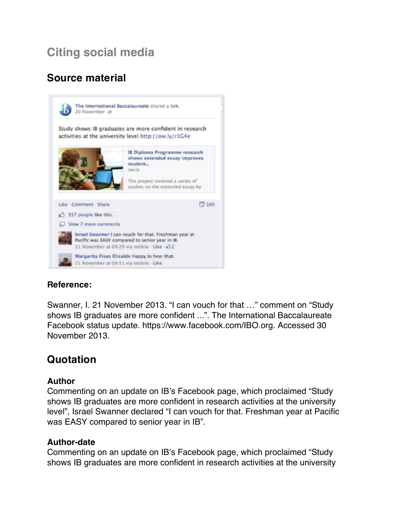# **Citing social media**

## **Source material**



#### **Reference:**

Swanner, I. 21 November 2013. "I can vouch for that …" comment on "Study shows IB graduates are more confident ...". The International Baccalaureate Facebook status update. https://www.facebook.com/IBO.org. Accessed 30 November 2013.

### **Quotation**

#### **Author**

Commenting on an update on IB's Facebook page, which proclaimed "Study shows IB graduates are more confident in research activities at the university level", Israel Swanner declared "I can vouch for that. Freshman year at Pacific was EASY compared to senior year in IB".

#### **Author-date**

Commenting on an update on IB's Facebook page, which proclaimed "Study shows IB graduates are more confident in research activities at the university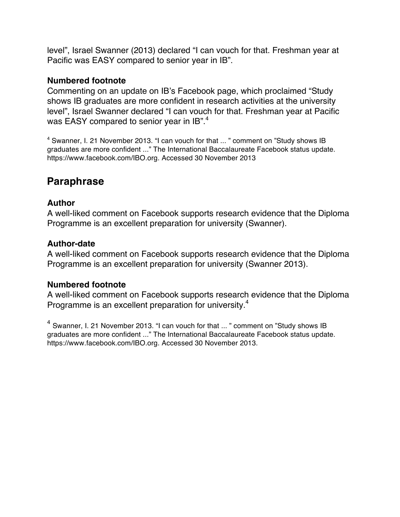level", Israel Swanner (2013) declared "I can vouch for that. Freshman year at Pacific was EASY compared to senior year in IB".

#### **Numbered footnote**

Commenting on an update on IB's Facebook page, which proclaimed "Study shows IB graduates are more confident in research activities at the university level", Israel Swanner declared "I can vouch for that. Freshman year at Pacific was EASY compared to senior year in IB".<sup>4</sup>

<sup>4</sup> Swanner, I. 21 November 2013. "I can vouch for that ... " comment on "Study shows IB graduates are more confident ..." The International Baccalaureate Facebook status update. https://www.facebook.com/IBO.org. Accessed 30 November 2013

### **Paraphrase**

#### **Author**

A well-liked comment on Facebook supports research evidence that the Diploma Programme is an excellent preparation for university (Swanner).

#### **Author-date**

A well-liked comment on Facebook supports research evidence that the Diploma Programme is an excellent preparation for university (Swanner 2013).

#### **Numbered footnote**

A well-liked comment on Facebook supports research evidence that the Diploma Programme is an excellent preparation for university.<sup>4</sup>

<sup>4</sup> Swanner, I. 21 November 2013. "I can vouch for that ... " comment on "Study shows IB graduates are more confident ..." The International Baccalaureate Facebook status update. https://www.facebook.com/IBO.org. Accessed 30 November 2013.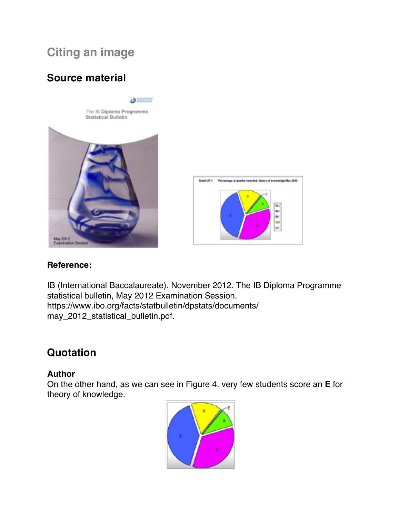## **Citing an image**

## **Source material**



#### **Reference:**

IB (International Baccalaureate). November 2012. The IB Diploma Programme statistical bulletin, May 2012 Examination Session. https://www.ibo.org/facts/statbulletin/dpstats/documents/ may\_2012\_statistical\_bulletin.pdf.

### **Quotation**

#### **Author**

On the other hand, as we can see in Figure 4, very few students score an **E** for theory of knowledge.

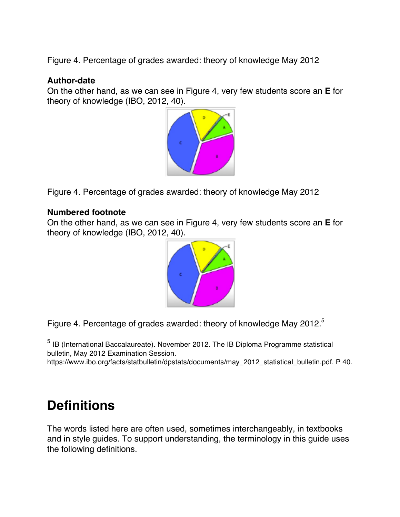Figure 4. Percentage of grades awarded: theory of knowledge May 2012

#### **Author-date**

On the other hand, as we can see in Figure 4, very few students score an **E** for theory of knowledge (IBO, 2012, 40).



Figure 4. Percentage of grades awarded: theory of knowledge May 2012

#### **Numbered footnote**

On the other hand, as we can see in Figure 4, very few students score an **E** for theory of knowledge (IBO, 2012, 40).



Figure 4. Percentage of grades awarded: theory of knowledge May 2012.<sup>5</sup>

<sup>5</sup> IB (International Baccalaureate). November 2012. The IB Diploma Programme statistical bulletin, May 2012 Examination Session.

https://www.ibo.org/facts/statbulletin/dpstats/documents/may\_2012\_statistical\_bulletin.pdf. P 40.

# **Definitions**

The words listed here are often used, sometimes interchangeably, in textbooks and in style guides. To support understanding, the terminology in this guide uses the following definitions.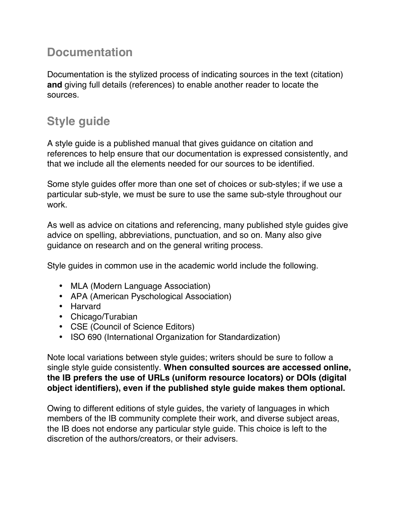## **Documentation**

Documentation is the stylized process of indicating sources in the text (citation) **and** giving full details (references) to enable another reader to locate the sources.

# **Style guide**

A style guide is a published manual that gives guidance on citation and references to help ensure that our documentation is expressed consistently, and that we include all the elements needed for our sources to be identified.

Some style guides offer more than one set of choices or sub-styles; if we use a particular sub-style, we must be sure to use the same sub-style throughout our work.

As well as advice on citations and referencing, many published style guides give advice on spelling, abbreviations, punctuation, and so on. Many also give guidance on research and on the general writing process.

Style guides in common use in the academic world include the following.

- MLA (Modern Language Association)
- APA (American Pyschological Association)
- Harvard
- Chicago/Turabian
- CSE (Council of Science Editors)
- ISO 690 (International Organization for Standardization)

Note local variations between style guides; writers should be sure to follow a single style guide consistently. **When consulted sources are accessed online, the IB prefers the use of URLs (uniform resource locators) or DOIs (digital object identifiers), even if the published style guide makes them optional.**

Owing to different editions of style guides, the variety of languages in which members of the IB community complete their work, and diverse subject areas, the IB does not endorse any particular style guide. This choice is left to the discretion of the authors/creators, or their advisers.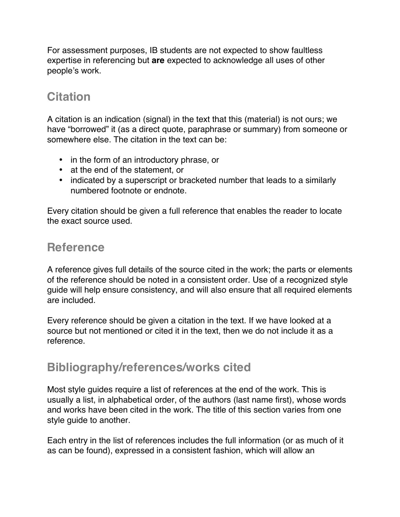For assessment purposes, IB students are not expected to show faultless expertise in referencing but **are** expected to acknowledge all uses of other people's work.

## **Citation**

A citation is an indication (signal) in the text that this (material) is not ours; we have "borrowed" it (as a direct quote, paraphrase or summary) from someone or somewhere else. The citation in the text can be:

- in the form of an introductory phrase, or
- at the end of the statement, or
- indicated by a superscript or bracketed number that leads to a similarly numbered footnote or endnote.

Every citation should be given a full reference that enables the reader to locate the exact source used.

## **Reference**

A reference gives full details of the source cited in the work; the parts or elements of the reference should be noted in a consistent order. Use of a recognized style guide will help ensure consistency, and will also ensure that all required elements are included.

Every reference should be given a citation in the text. If we have looked at a source but not mentioned or cited it in the text, then we do not include it as a reference.

## **Bibliography/references/works cited**

Most style guides require a list of references at the end of the work. This is usually a list, in alphabetical order, of the authors (last name first), whose words and works have been cited in the work. The title of this section varies from one style guide to another.

Each entry in the list of references includes the full information (or as much of it as can be found), expressed in a consistent fashion, which will allow an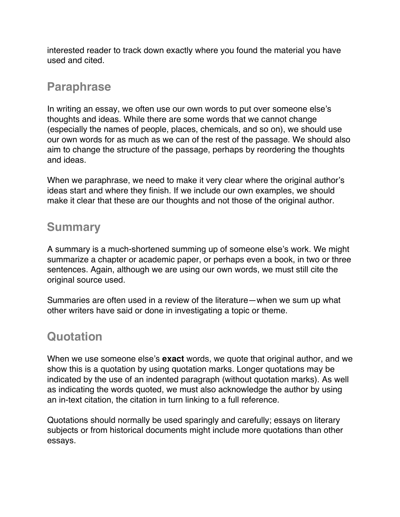interested reader to track down exactly where you found the material you have used and cited.

### **Paraphrase**

In writing an essay, we often use our own words to put over someone else's thoughts and ideas. While there are some words that we cannot change (especially the names of people, places, chemicals, and so on), we should use our own words for as much as we can of the rest of the passage. We should also aim to change the structure of the passage, perhaps by reordering the thoughts and ideas.

When we paraphrase, we need to make it very clear where the original author's ideas start and where they finish. If we include our own examples, we should make it clear that these are our thoughts and not those of the original author.

## **Summary**

A summary is a much-shortened summing up of someone else's work. We might summarize a chapter or academic paper, or perhaps even a book, in two or three sentences. Again, although we are using our own words, we must still cite the original source used.

Summaries are often used in a review of the literature—when we sum up what other writers have said or done in investigating a topic or theme.

## **Quotation**

When we use someone else's **exact** words, we quote that original author, and we show this is a quotation by using quotation marks. Longer quotations may be indicated by the use of an indented paragraph (without quotation marks). As well as indicating the words quoted, we must also acknowledge the author by using an in-text citation, the citation in turn linking to a full reference.

Quotations should normally be used sparingly and carefully; essays on literary subjects or from historical documents might include more quotations than other essays.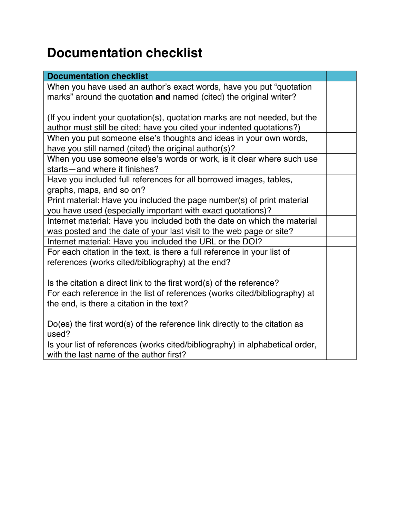# **Documentation checklist**

| <b>Documentation checklist</b>                                               |  |
|------------------------------------------------------------------------------|--|
| When you have used an author's exact words, have you put "quotation"         |  |
| marks" around the quotation and named (cited) the original writer?           |  |
|                                                                              |  |
| (If you indent your quotation(s), quotation marks are not needed, but the    |  |
| author must still be cited; have you cited your indented quotations?)        |  |
| When you put someone else's thoughts and ideas in your own words,            |  |
| have you still named (cited) the original author(s)?                         |  |
| When you use someone else's words or work, is it clear where such use        |  |
| starts-and where it finishes?                                                |  |
| Have you included full references for all borrowed images, tables,           |  |
| graphs, maps, and so on?                                                     |  |
| Print material: Have you included the page number(s) of print material       |  |
| you have used (especially important with exact quotations)?                  |  |
| Internet material: Have you included both the date on which the material     |  |
| was posted and the date of your last visit to the web page or site?          |  |
| Internet material: Have you included the URL or the DOI?                     |  |
| For each citation in the text, is there a full reference in your list of     |  |
| references (works cited/bibliography) at the end?                            |  |
|                                                                              |  |
| Is the citation a direct link to the first word(s) of the reference?         |  |
| For each reference in the list of references (works cited/bibliography) at   |  |
| the end, is there a citation in the text?                                    |  |
|                                                                              |  |
| $Do(es)$ the first word(s) of the reference link directly to the citation as |  |
| used?                                                                        |  |
| Is your list of references (works cited/bibliography) in alphabetical order, |  |
| with the last name of the author first?                                      |  |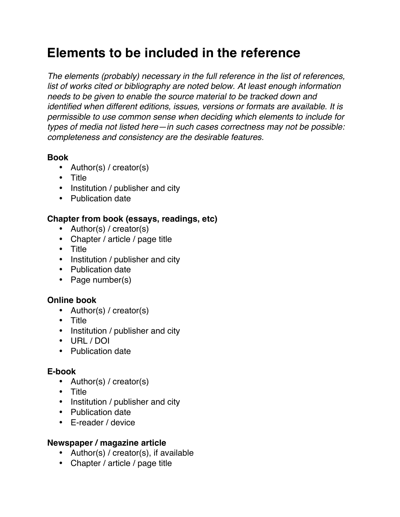# **Elements to be included in the reference**

*The elements (probably) necessary in the full reference in the list of references, list of works cited or bibliography are noted below. At least enough information needs to be given to enable the source material to be tracked down and identified when different editions, issues, versions or formats are available. It is permissible to use common sense when deciding which elements to include for types of media not listed here—in such cases correctness may not be possible: completeness and consistency are the desirable features.*

#### **Book**

- Author(s) / creator(s)
- Title
- Institution / publisher and city
- Publication date

#### **Chapter from book (essays, readings, etc)**

- Author(s) / creator(s)
- Chapter / article / page title
- Title
- Institution / publisher and city
- Publication date
- Page number(s)

#### **Online book**

- Author(s) / creator(s)
- Title
- Institution / publisher and city
- URL / DOI
- Publication date

#### **E-book**

- Author(s) / creator(s)
- Title
- Institution / publisher and city
- Publication date
- E-reader / device

#### **Newspaper / magazine article**

- Author(s) / creator(s), if available
- Chapter / article / page title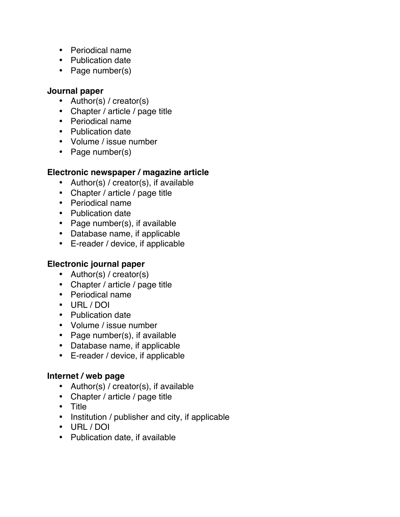- Periodical name
- Publication date
- Page number(s)

#### **Journal paper**

- Author(s) / creator(s)
- Chapter / article / page title
- Periodical name
- Publication date
- Volume / issue number
- Page number(s)

#### **Electronic newspaper / magazine article**

- Author(s) / creator(s), if available
- Chapter / article / page title
- Periodical name
- Publication date
- Page number(s), if available
- Database name, if applicable
- E-reader / device, if applicable

#### **Electronic journal paper**

- Author(s) / creator(s)
- Chapter / article / page title
- Periodical name
- URL / DOI
- Publication date
- Volume / issue number
- Page number(s), if available
- Database name, if applicable
- E-reader / device, if applicable

#### **Internet / web page**

- Author(s) / creator(s), if available
- Chapter / article / page title
- Title
- Institution / publisher and city, if applicable
- URL / DOI
- Publication date, if available